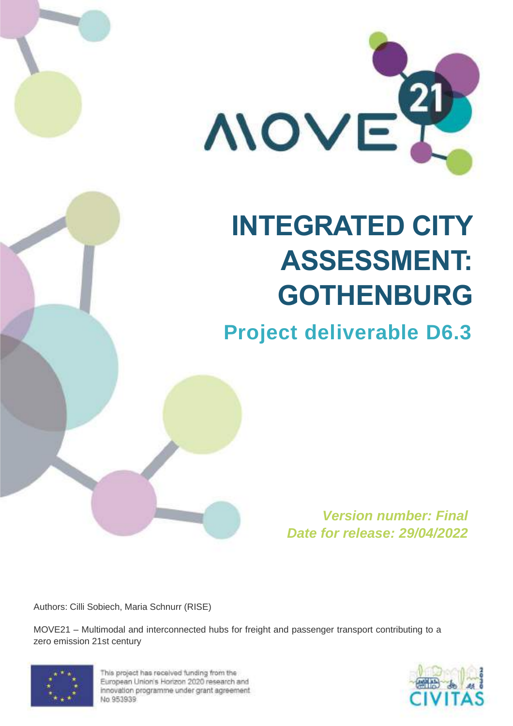

# **INTEGRATED CITY ASSESSMENT: GOTHENBURG**

# **Project deliverable D6.3**

**Version number: Final Date for release: 29/04/2022**

Authors: Cilli Sobiech, Maria Schnurr (RISE)

MOVE21 – Multimodal and interconnected hubs for freight and passenger transport contributing to a zero emission 21st century



This project has received funding from the European Union's Horizon 2020 research and innovation programme under grant agreement No.953939

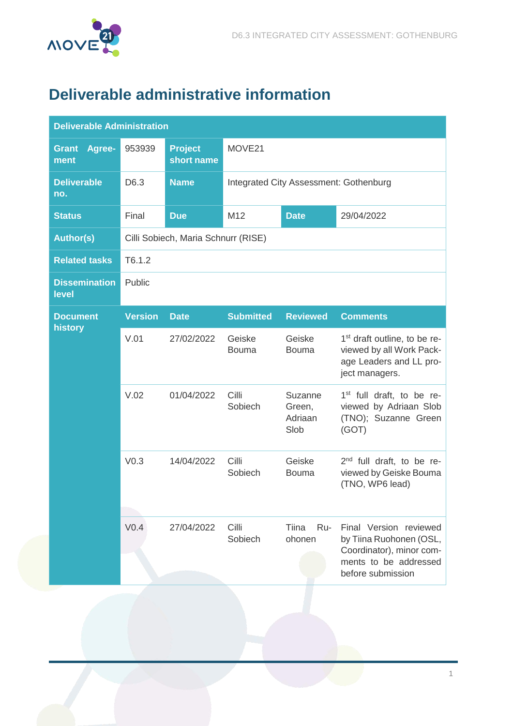

# <span id="page-1-0"></span>**Deliverable administrative information**

| <b>Deliverable Administration</b> |                  |                                     |                        |                                        |                                                                                                                             |  |
|-----------------------------------|------------------|-------------------------------------|------------------------|----------------------------------------|-----------------------------------------------------------------------------------------------------------------------------|--|
| Agree-<br><b>Grant</b><br>ment    | 953939           | <b>Project</b><br>short name        | MOVE21                 |                                        |                                                                                                                             |  |
| <b>Deliverable</b><br>no.         | D6.3             | <b>Name</b>                         |                        | Integrated City Assessment: Gothenburg |                                                                                                                             |  |
| <b>Status</b>                     | Final            | <b>Due</b>                          | M <sub>12</sub>        | <b>Date</b>                            | 29/04/2022                                                                                                                  |  |
| <b>Author(s)</b>                  |                  | Cilli Sobiech, Maria Schnurr (RISE) |                        |                                        |                                                                                                                             |  |
| <b>Related tasks</b>              | T6.1.2           |                                     |                        |                                        |                                                                                                                             |  |
| <b>Dissemination</b><br>level     | Public           |                                     |                        |                                        |                                                                                                                             |  |
| <b>Document</b><br>history        | <b>Version</b>   | <b>Date</b>                         | <b>Submitted</b>       | <b>Reviewed</b>                        | <b>Comments</b>                                                                                                             |  |
|                                   | V.01             | 27/02/2022                          | Geiske<br><b>Bouma</b> | Geiske<br><b>Bouma</b>                 | 1 <sup>st</sup> draft outline, to be re-<br>viewed by all Work Pack-<br>age Leaders and LL pro-<br>ject managers.           |  |
|                                   | V.02             | 01/04/2022                          | Cilli<br>Sobiech       | Suzanne<br>Green,<br>Adriaan<br>Slob   | 1 <sup>st</sup> full draft, to be re-<br>viewed by Adriaan Slob<br>(TNO); Suzanne Green<br>(GOT)                            |  |
|                                   | V <sub>0.3</sub> | 14/04/2022                          | Cilli<br>Sobiech       | Geiske<br><b>Bouma</b>                 | 2 <sup>nd</sup> full draft, to be re-<br>viewed by Geiske Bouma<br>(TNO, WP6 lead)                                          |  |
|                                   | V <sub>0.4</sub> | 27/04/2022                          | Cilli<br>Sobiech       | Tiina<br>Ru-<br>ohonen                 | Final Version reviewed<br>by Tiina Ruohonen (OSL,<br>Coordinator), minor com-<br>ments to be addressed<br>before submission |  |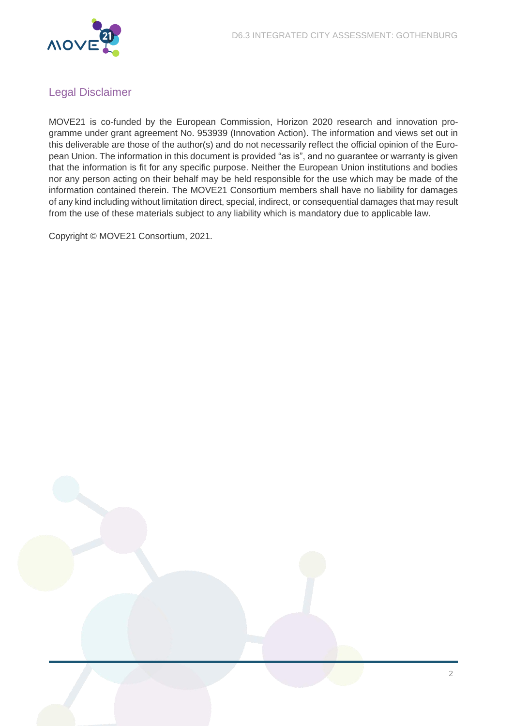

### <span id="page-2-0"></span>Legal Disclaimer

MOVE21 is co-funded by the European Commission, Horizon 2020 research and innovation programme under grant agreement No. 953939 (Innovation Action). The information and views set out in this deliverable are those of the author(s) and do not necessarily reflect the official opinion of the European Union. The information in this document is provided "as is", and no guarantee or warranty is given that the information is fit for any specific purpose. Neither the European Union institutions and bodies nor any person acting on their behalf may be held responsible for the use which may be made of the information contained therein. The MOVE21 Consortium members shall have no liability for damages of any kind including without limitation direct, special, indirect, or consequential damages that may result from the use of these materials subject to any liability which is mandatory due to applicable law.

Copyright © MOVE21 Consortium, 2021.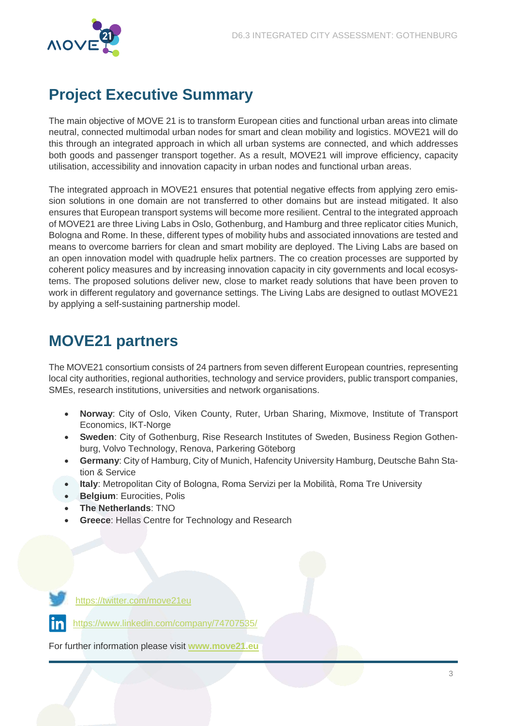

# <span id="page-3-0"></span>**Project Executive Summary**

The main objective of MOVE 21 is to transform European cities and functional urban areas into climate neutral, connected multimodal urban nodes for smart and clean mobility and logistics. MOVE21 will do this through an integrated approach in which all urban systems are connected, and which addresses both goods and passenger transport together. As a result, MOVE21 will improve efficiency, capacity utilisation, accessibility and innovation capacity in urban nodes and functional urban areas.

The integrated approach in MOVE21 ensures that potential negative effects from applying zero emission solutions in one domain are not transferred to other domains but are instead mitigated. It also ensures that European transport systems will become more resilient. Central to the integrated approach of MOVE21 are three Living Labs in Oslo, Gothenburg, and Hamburg and three replicator cities Munich, Bologna and Rome. In these, different types of mobility hubs and associated innovations are tested and means to overcome barriers for clean and smart mobility are deployed. The Living Labs are based on an open innovation model with quadruple helix partners. The co creation processes are supported by coherent policy measures and by increasing innovation capacity in city governments and local ecosystems. The proposed solutions deliver new, close to market ready solutions that have been proven to work in different regulatory and governance settings. The Living Labs are designed to outlast MOVE21 by applying a self-sustaining partnership model.

## <span id="page-3-1"></span>**MOVE21 partners**

The MOVE21 consortium consists of 24 partners from seven different European countries, representing local city authorities, regional authorities, technology and service providers, public transport companies, SMEs, research institutions, universities and network organisations.

- **Norway**: City of Oslo, Viken County, Ruter, Urban Sharing, Mixmove, Institute of Transport Economics, IKT-Norge
- **Sweden**: City of Gothenburg, Rise Research Institutes of Sweden, Business Region Gothenburg, Volvo Technology, Renova, Parkering Göteborg
- **Germany**: City of Hamburg, City of Munich, Hafencity University Hamburg, Deutsche Bahn Station & Service
- **Italy**: Metropolitan City of Bologna, Roma Servizi per la Mobilità, Roma Tre University
- **Belgium: Eurocities, Polis**
- **The Netherlands**: TNO
- **Greece**: Hellas Centre for Technology and Research



<https://twitter.com/move21eu>

<https://www.linkedin.com/company/74707535/>

For further information please visit **[www.move21.eu](http://www.move21.eu/)**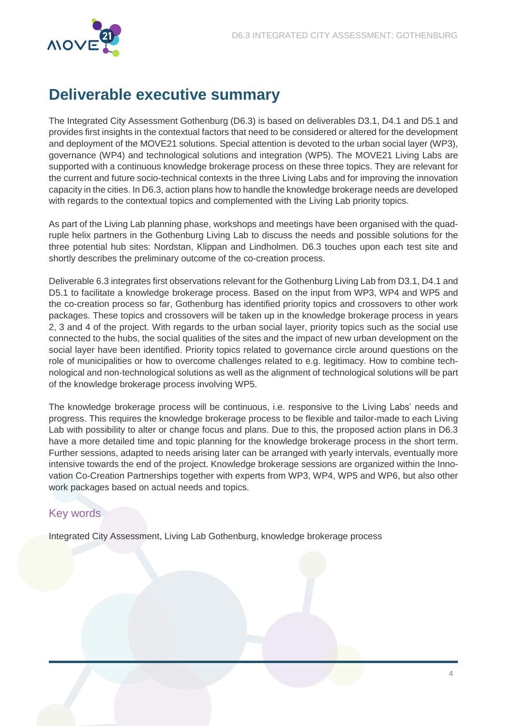

# <span id="page-4-0"></span>**Deliverable executive summary**

The Integrated City Assessment Gothenburg (D6.3) is based on deliverables D3.1, D4.1 and D5.1 and provides first insights in the contextual factors that need to be considered or altered for the development and deployment of the MOVE21 solutions. Special attention is devoted to the urban social layer (WP3), governance (WP4) and technological solutions and integration (WP5). The MOVE21 Living Labs are supported with a continuous knowledge brokerage process on these three topics. They are relevant for the current and future socio-technical contexts in the three Living Labs and for improving the innovation capacity in the cities. In D6.3, action plans how to handle the knowledge brokerage needs are developed with regards to the contextual topics and complemented with the Living Lab priority topics.

As part of the Living Lab planning phase, workshops and meetings have been organised with the quadruple helix partners in the Gothenburg Living Lab to discuss the needs and possible solutions for the three potential hub sites: Nordstan, Klippan and Lindholmen. D6.3 touches upon each test site and shortly describes the preliminary outcome of the co-creation process.

Deliverable 6.3 integrates first observations relevant for the Gothenburg Living Lab from D3.1, D4.1 and D5.1 to facilitate a knowledge brokerage process. Based on the input from WP3, WP4 and WP5 and the co-creation process so far, Gothenburg has identified priority topics and crossovers to other work packages. These topics and crossovers will be taken up in the knowledge brokerage process in years 2, 3 and 4 of the project. With regards to the urban social layer, priority topics such as the social use connected to the hubs, the social qualities of the sites and the impact of new urban development on the social layer have been identified. Priority topics related to governance circle around questions on the role of municipalities or how to overcome challenges related to e.g. legitimacy. How to combine technological and non-technological solutions as well as the alignment of technological solutions will be part of the knowledge brokerage process involving WP5.

The knowledge brokerage process will be continuous, i.e. responsive to the Living Labs' needs and progress. This requires the knowledge brokerage process to be flexible and tailor-made to each Living Lab with possibility to alter or change focus and plans. Due to this, the proposed action plans in D6.3 have a more detailed time and topic planning for the knowledge brokerage process in the short term. Further sessions, adapted to needs arising later can be arranged with yearly intervals, eventually more intensive towards the end of the project. Knowledge brokerage sessions are organized within the Innovation Co-Creation Partnerships together with experts from WP3, WP4, WP5 and WP6, but also other work packages based on actual needs and topics.

### <span id="page-4-1"></span>Key words

Integrated City Assessment, Living Lab Gothenburg, knowledge brokerage process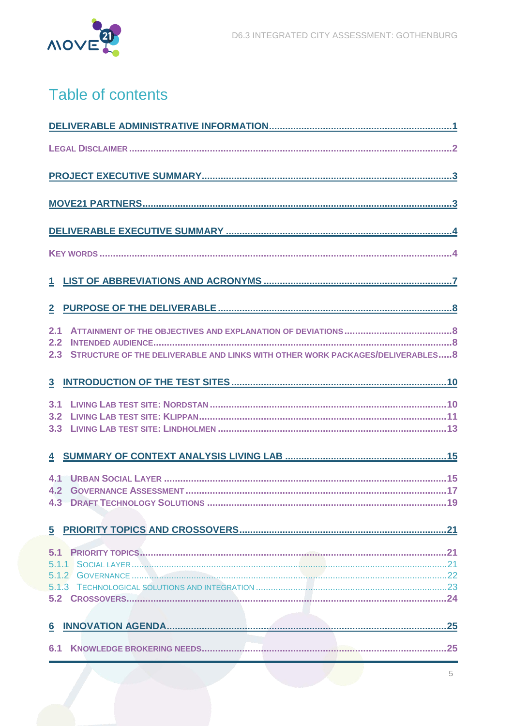

# Table of contents

| 2.1<br>2.2<br>STRUCTURE OF THE DELIVERABLE AND LINKS WITH OTHER WORK PACKAGES/DELIVERABLES 8<br>2.3 |
|-----------------------------------------------------------------------------------------------------|
|                                                                                                     |
| 3.1<br>3.2<br>3.3                                                                                   |
|                                                                                                     |
| 4.2                                                                                                 |
|                                                                                                     |
| 5.1                                                                                                 |
|                                                                                                     |
| 6.1                                                                                                 |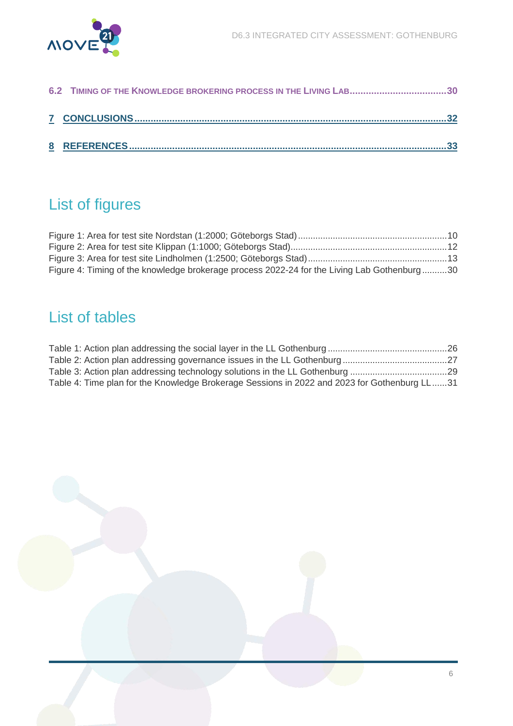

| 6.2 TIMING OF THE KNOWLEDGE BROKERING PROCESS IN THE LIVING LAB30 |  |
|-------------------------------------------------------------------|--|
|                                                                   |  |
|                                                                   |  |

# List of figures

| Figure 4: Timing of the knowledge brokerage process 2022-24 for the Living Lab Gothenburg30 |  |
|---------------------------------------------------------------------------------------------|--|

# List of tables

| Table 4: Time plan for the Knowledge Brokerage Sessions in 2022 and 2023 for Gothenburg LL31 |  |
|----------------------------------------------------------------------------------------------|--|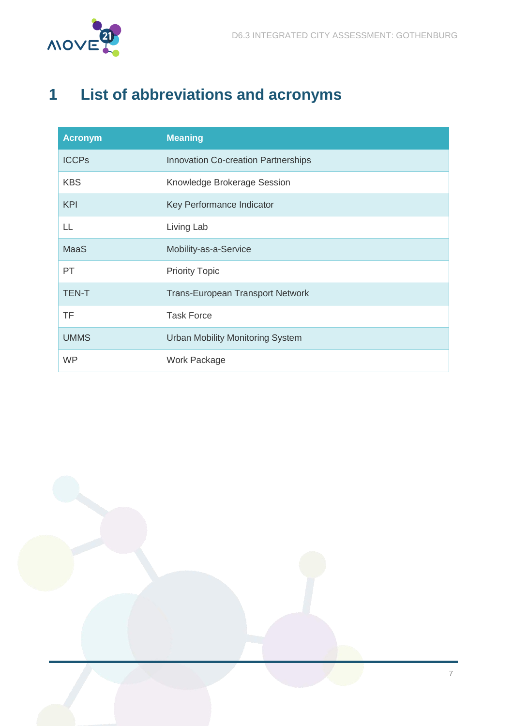



# <span id="page-7-0"></span>**1 List of abbreviations and acronyms**

| <b>Acronym</b> | <b>Meaning</b>                          |
|----------------|-----------------------------------------|
| <b>ICCPs</b>   | Innovation Co-creation Partnerships     |
| <b>KBS</b>     | Knowledge Brokerage Session             |
| <b>KPI</b>     | Key Performance Indicator               |
| LL             | Living Lab                              |
| <b>MaaS</b>    | Mobility-as-a-Service                   |
| PT             | <b>Priority Topic</b>                   |
| <b>TEN-T</b>   | <b>Trans-European Transport Network</b> |
| <b>TF</b>      | <b>Task Force</b>                       |
| <b>UMMS</b>    | <b>Urban Mobility Monitoring System</b> |
| <b>WP</b>      | Work Package                            |

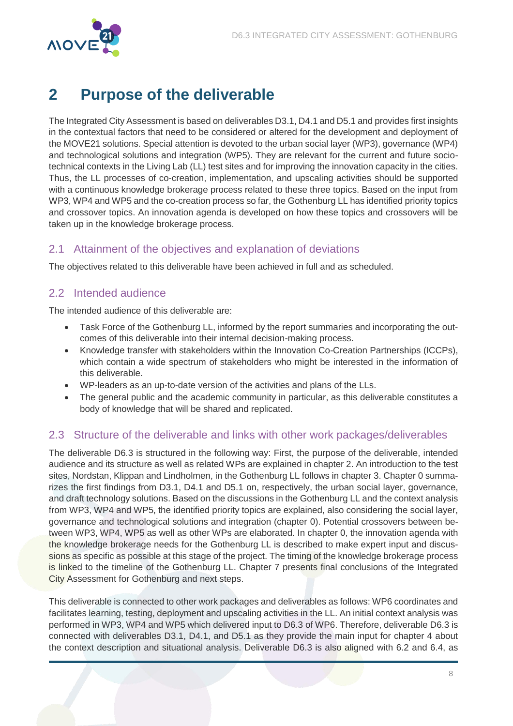

# <span id="page-8-0"></span>**2 Purpose of the deliverable**

The Integrated City Assessment is based on deliverables D3.1, D4.1 and D5.1 and provides first insights in the contextual factors that need to be considered or altered for the development and deployment of the MOVE21 solutions. Special attention is devoted to the urban social layer (WP3), governance (WP4) and technological solutions and integration (WP5). They are relevant for the current and future sociotechnical contexts in the Living Lab (LL) test sites and for improving the innovation capacity in the cities. Thus, the LL processes of co-creation, implementation, and upscaling activities should be supported with a continuous knowledge brokerage process related to these three topics. Based on the input from WP3, WP4 and WP5 and the co-creation process so far, the Gothenburg LL has identified priority topics and crossover topics. An innovation agenda is developed on how these topics and crossovers will be taken up in the knowledge brokerage process.

### <span id="page-8-1"></span>2.1 Attainment of the objectives and explanation of deviations

The objectives related to this deliverable have been achieved in full and as scheduled.

### <span id="page-8-2"></span>2.2 Intended audience

The intended audience of this deliverable are:

- Task Force of the Gothenburg LL, informed by the report summaries and incorporating the outcomes of this deliverable into their internal decision-making process.
- Knowledge transfer with stakeholders within the Innovation Co-Creation Partnerships (ICCPs), which contain a wide spectrum of stakeholders who might be interested in the information of this deliverable.
- WP-leaders as an up-to-date version of the activities and plans of the LLs.
- The general public and the academic community in particular, as this deliverable constitutes a body of knowledge that will be shared and replicated.

### <span id="page-8-3"></span>2.3 Structure of the deliverable and links with other work packages/deliverables

The deliverable D6.3 is structured in the following way: First, the purpose of the deliverable, intended audience and its structure as well as related WPs are explained in chapter [2.](#page-8-0) An introduction to the test sites, Nordstan, Klippan and Lindholmen, in the Gothenburg LL follows in chapter [3.](#page-10-0) Chapter [0](#page-14-0) summarizes the first findings from D3.1, D4.1 and D5.1 on, respectively, the urban social layer, governance, and draft technology solutions. Based on the discussions in the Gothenburg LL and the context analysis from WP3, WP4 and WP5, the identified priority topics are explained, also considering the social layer, governance and technological solutions and integration (chapter [0\)](#page-20-0). Potential crossovers between between WP3, WP4, WP5 as well as other WPs are elaborated. In chapter [0,](#page-24-1) the innovation agenda with the knowledge brokerage needs for the Gothenburg LL is described to make expert input and discussions as specific as possible at this stage of the project. The timing of the knowledge brokerage process is linked to the timeline of the Gothenburg LL. Chapter [7](#page-32-0) presents final conclusions of the Integrated City Assessment for Gothenburg and next steps.

This deliverable is connected to other work packages and deliverables as follows: WP6 coordinates and facilitates learning, testing, deployment and upscaling activities in the LL. An initial context analysis was performed in WP3, WP4 and WP5 which delivered input to D6.3 of WP6. Therefore, deliverable D6.3 is connected with deliverables D3.1, D4.1, and D5.1 as they provide the main input for chapter 4 about the context description and situational analysis. Deliverable D6.3 is also aligned with 6.2 and 6.4, as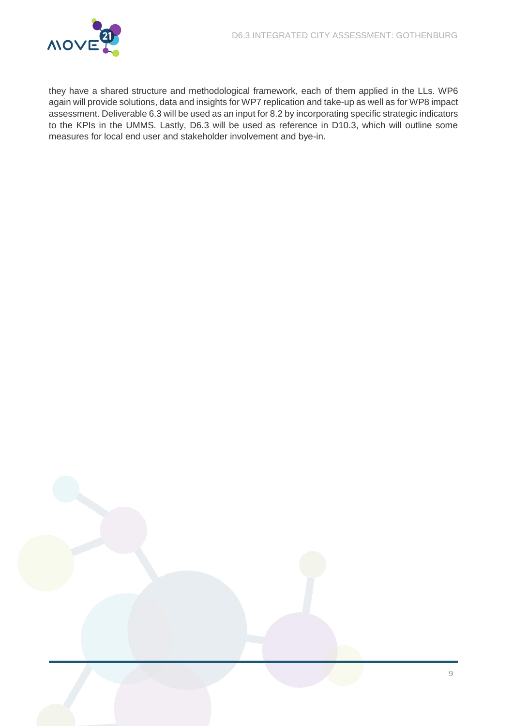

they have a shared structure and methodological framework, each of them applied in the LLs. WP6 again will provide solutions, data and insights for WP7 replication and take-up as well as for WP8 impact assessment. Deliverable 6.3 will be used as an input for 8.2 by incorporating specific strategic indicators to the KPIs in the UMMS. Lastly, D6.3 will be used as reference in D10.3, which will outline some measures for local end user and stakeholder involvement and bye-in.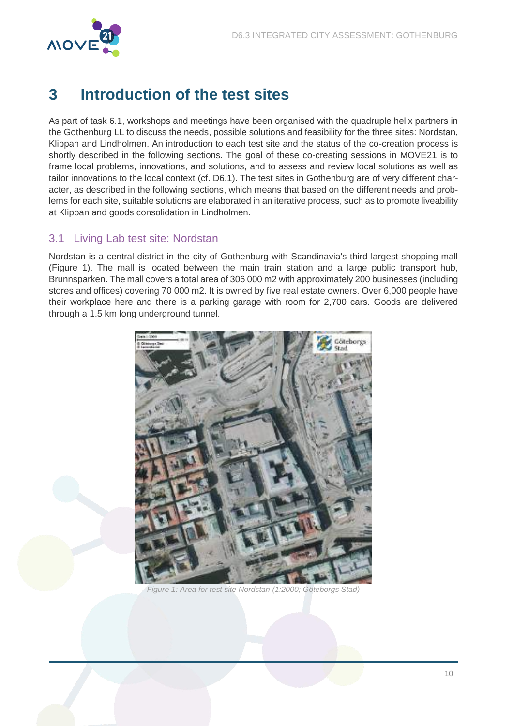

# <span id="page-10-0"></span>**3 Introduction of the test sites**

As part of task 6.1, workshops and meetings have been organised with the quadruple helix partners in the Gothenburg LL to discuss the needs, possible solutions and feasibility for the three sites: Nordstan, Klippan and Lindholmen. An introduction to each test site and the status of the co-creation process is shortly described in the following sections. The goal of these co-creating sessions in MOVE21 is to frame local problems, innovations, and solutions, and to assess and review local solutions as well as tailor innovations to the local context (cf. D6.1). The test sites in Gothenburg are of very different character, as described in the following sections, which means that based on the different needs and problems for each site, suitable solutions are elaborated in an iterative process, such as to promote liveability at Klippan and goods consolidation in Lindholmen.

### <span id="page-10-1"></span>3.1 Living Lab test site: Nordstan

Nordstan is a central district in the city of Gothenburg with Scandinavia's third largest shopping mall [\(Figure 1\)](#page-10-2). The mall is located between the main train station and a large public transport hub, Brunnsparken. The mall covers a total area of 306 000 m2 with approximately 200 businesses (including stores and offices) covering 70 000 m2. It is owned by five real estate owners. Over 6,000 people have their workplace here and there is a parking garage with room for 2,700 cars. Goods are delivered through a 1.5 km long underground tunnel.

<span id="page-10-2"></span>

Figure 1: Area for test site Nordstan (1:2000; Göteborgs Stad)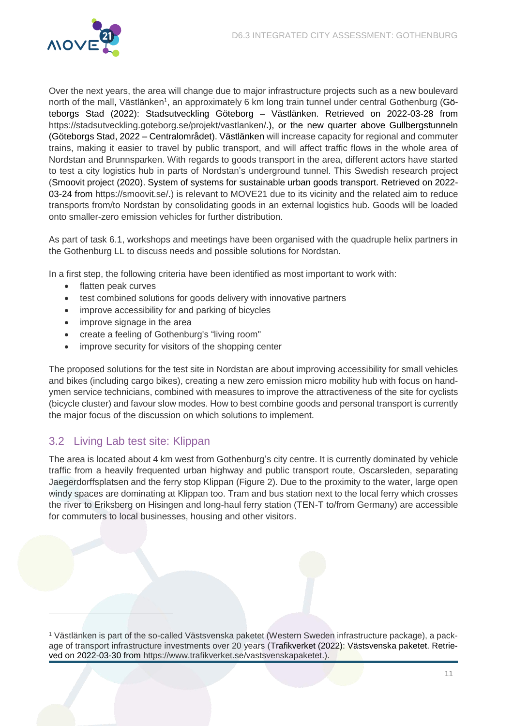

Over the next years, the area will change due to major infrastructure projects such as a new boulevard north of the mall, Västlänken<sup>1</sup>, an approximately 6 km long train tunnel under central Gothenburg [\(Gö](#page-33-1)[teborgs Stad \(2022\): Stadsutveckling Göteborg](#page-33-1) – Västlänken. Retrieved on 2022-03-28 from [https://stadsutveckling.goteborg.se/projekt/vastlanken/.\)](#page-33-1), or the new quarter above Gullbergstunneln (Göteborgs Stad, 2022 – [Centralområdet\)](#page-33-0). Västlänken will increase capacity for regional and commuter trains, making it easier to travel by public transport, and will affect traffic flows in the whole area of Nordstan and Brunnsparken. With regards to goods transport in the area, different actors have started to test a city logistics hub in parts of Nordstan's underground tunnel. This Swedish research project (Smoovit project (2020). System of systems for [sustainable urban goods transport. Retrieved on 2022-](#page-33-2) [03-24 from https://smoovit.se/.\)](#page-33-2) is relevant to MOVE21 due to its vicinity and the related aim to reduce transports from/to Nordstan by consolidating goods in an external logistics hub. Goods will be loaded onto smaller-zero emission vehicles for further distribution.

As part of task 6.1, workshops and meetings have been organised with the quadruple helix partners in the Gothenburg LL to discuss needs and possible solutions for Nordstan.

In a first step, the following criteria have been identified as most important to work with:

- flatten peak curves
- test combined solutions for goods delivery with innovative partners
- improve accessibility for and parking of bicycles
- improve signage in the area
- create a feeling of Gothenburg's "living room"
- improve security for visitors of the shopping center

The proposed solutions for the test site in Nordstan are about improving accessibility for small vehicles and bikes (including cargo bikes), creating a new zero emission micro mobility hub with focus on handymen service technicians, combined with measures to improve the attractiveness of the site for cyclists (bicycle cluster) and favour slow modes. How to best combine goods and personal transport is currently the major focus of the discussion on which solutions to implement.

### <span id="page-11-0"></span>3.2 Living Lab test site: Klippan

 $\overline{a}$ 

The area is located about 4 km west from Gothenburg's city centre. It is currently dominated by vehicle traffic from a heavily frequented urban highway and public transport route, Oscarsleden, separating Jaegerdorffsplatsen and the ferry stop Klippan [\(Figure 2\)](#page-12-0). Due to the proximity to the water, large open windy spaces are dominating at Klippan too. Tram and bus station next to the local ferry which crosses the river to Eriksberg on Hisingen and long-haul ferry station (TEN-T to/from Germany) are accessible for commuters to local businesses, housing and other visitors.

<sup>1</sup> Västlänken is part of the so-called Västsvenska paketet (Western Sweden infrastructure package), a package of transport infrastructure investments over 20 years [\(Trafikverket \(2022\): Västsvenska paketet. Retrie](#page-33-3)[ved on 2022-03-30 from https://www.trafikverket.se/vastsvenskapaketet.\)](#page-33-3).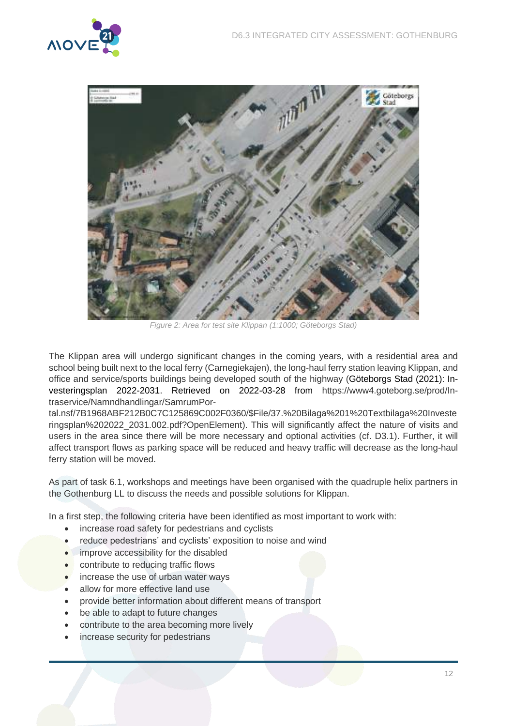



Figure 2: Area for test site Klippan (1:1000; Göteborgs Stad)

<span id="page-12-0"></span>The Klippan area will undergo significant changes in the coming years, with a residential area and school being built next to the local ferry (Carnegiekajen), the long-haul ferry station leaving Klippan, and office and service/sports buildings being developed south of the highway [\(Göteborgs Stad \(2021\): In](#page-33-4)[vesteringsplan 2022-2031. Retrieved on 2022-03-28 from https://www4.goteborg.se/prod/In](#page-33-4)[traservice/Namndhandlingar/SamrumPor-](#page-33-4)

[tal.nsf/7B1968ABF212B0C7C125869C002F0360/\\$File/37.%20Bilaga%201%20Textbilaga%20Investe](#page-33-4) [ringsplan%202022\\_2031.002.pdf?OpenElement\)](#page-33-4). This will significantly affect the nature of visits and users in the area since there will be more necessary and optional activities (cf. D3.1). Further, it will affect transport flows as parking space will be reduced and heavy traffic will decrease as the long-haul ferry station will be moved.

As part of task 6.1, workshops and meetings have been organised with the quadruple helix partners in the Gothenburg LL to discuss the needs and possible solutions for Klippan.

In a first step, the following criteria have been identified as most important to work with:

- increase road safety for pedestrians and cyclists
- reduce pedestrians' and cyclists' exposition to noise and wind
- **•** improve accessibility for the disabled
- **•** contribute to reducing traffic flows
- increase the use of urban water ways
- allow for more effective land use
- provide better information about different means of transport
- be able to adapt to future changes
- contribute to the area becoming more lively
- increase security for pedestrians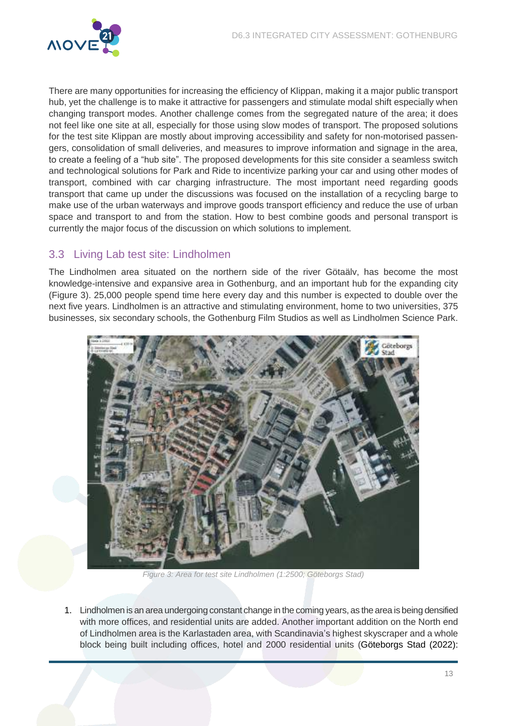

There are many opportunities for increasing the efficiency of Klippan, making it a major public transport hub, yet the challenge is to make it attractive for passengers and stimulate modal shift especially when changing transport modes. Another challenge comes from the segregated nature of the area; it does not feel like one site at all, especially for those using slow modes of transport. The proposed solutions for the test site Klippan are mostly about improving accessibility and safety for non-motorised passengers, consolidation of small deliveries, and measures to improve information and signage in the area, to create a feeling of a "hub site". The proposed developments for this site consider a seamless switch and technological solutions for Park and Ride to incentivize parking your car and using other modes of transport, combined with car charging infrastructure. The most important need regarding goods transport that came up under the discussions was focused on the installation of a recycling barge to make use of the urban waterways and improve goods transport efficiency and reduce the use of urban space and transport to and from the station. How to best combine goods and personal transport is currently the major focus of the discussion on which solutions to implement.

### <span id="page-13-0"></span>3.3 Living Lab test site: Lindholmen

The Lindholmen area situated on the northern side of the river Götaälv, has become the most knowledge-intensive and expansive area in Gothenburg, and an important hub for the expanding city [\(Figure 3\)](#page-13-1). 25,000 people spend time here every day and this number is expected to double over the next five years. Lindholmen is an attractive and stimulating environment, home to two universities, 375 businesses, six secondary schools, the Gothenburg Film Studios as well as Lindholmen Science Park.



Figure 3: Area for test site Lindholmen (1:2500; Göteborgs Stad)

<span id="page-13-1"></span>1. Lindholmen is an area undergoing constant change in the coming years, as the area is being densified with more offices, and residential units are added. Another important addition on the North end of Lindholmen area is the Karlastaden area, with Scandinavia's highest skyscraper and a whole block being built including offices, hotel and 2000 residential units [\(Göteborgs Stad \(2022\):](#page-33-5)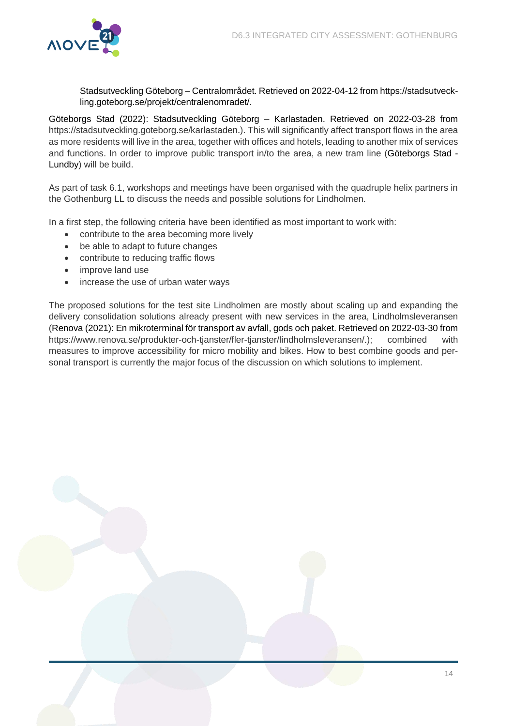

Stadsutveckling Göteborg – [Centralområdet. Retrieved on 2022-04-12](#page-33-5) from https://stadsutveck[ling.goteborg.se/projekt/centralenomradet/.](#page-33-5)

[Göteborgs Stad \(2022\): Stadsutveckling Göteborg](#page-33-5) – Karlastaden. Retrieved on 2022-03-28 from [https://stadsutveckling.goteborg.se/karlastaden.\)](#page-33-5). This will significantly affect transport flows in the area as more residents will live in the area, together with offices and hotels, leading to another mix of services and functions. In order to improve public transport in/to the area, a new tram line (Göteborgs Stad - [Lundby\)](#page-33-0) will be build.

As part of task 6.1, workshops and meetings have been organised with the quadruple helix partners in the Gothenburg LL to discuss the needs and possible solutions for Lindholmen.

In a first step, the following criteria have been identified as most important to work with:

- contribute to the area becoming more lively
- be able to adapt to future changes
- contribute to reducing traffic flows
- improve land use
- increase the use of urban water ways

<span id="page-14-0"></span>The proposed solutions for the test site Lindholmen are mostly about scaling up and expanding the delivery consolidation solutions already present with new services in the area, Lindholmsleveransen [\(Renova \(2021\): En mikroterminal för transport av avfall, gods och paket. Retrieved on 2022-03-30 from](#page-33-6)  [https://www.renova.se/produkter-och-tjanster/fler-tjanster/lindholmsleveransen/.\)](#page-33-6); combined with measures to improve accessibility for micro mobility and bikes. How to best combine goods and personal transport is currently the major focus of the discussion on which solutions to implement.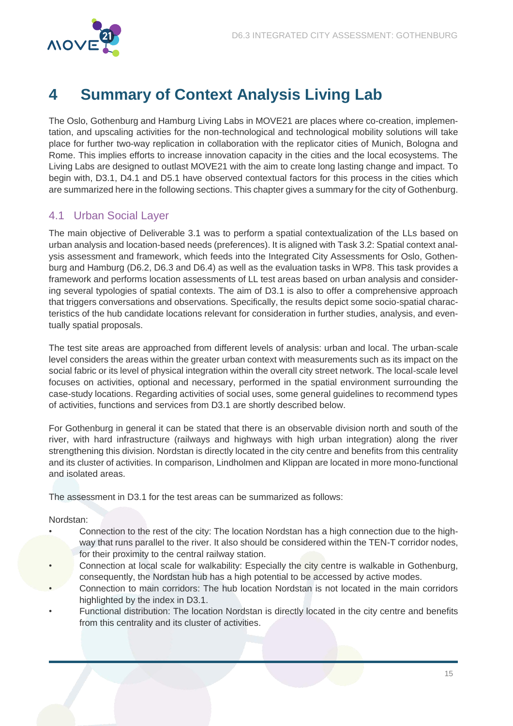

# <span id="page-15-0"></span>**4 Summary of Context Analysis Living Lab**

The Oslo, Gothenburg and Hamburg Living Labs in MOVE21 are places where co-creation, implementation, and upscaling activities for the non-technological and technological mobility solutions will take place for further two-way replication in collaboration with the replicator cities of Munich, Bologna and Rome. This implies efforts to increase innovation capacity in the cities and the local ecosystems. The Living Labs are designed to outlast MOVE21 with the aim to create long lasting change and impact. To begin with, D3.1, D4.1 and D5.1 have observed contextual factors for this process in the cities which are summarized here in the following sections. This chapter gives a summary for the city of Gothenburg.

### <span id="page-15-1"></span>4.1 Urban Social Layer

The main objective of Deliverable 3.1 was to perform a spatial contextualization of the LLs based on urban analysis and location-based needs (preferences). It is aligned with Task 3.2: Spatial context analysis assessment and framework, which feeds into the Integrated City Assessments for Oslo, Gothenburg and Hamburg (D6.2, D6.3 and D6.4) as well as the evaluation tasks in WP8. This task provides a framework and performs location assessments of LL test areas based on urban analysis and considering several typologies of spatial contexts. The aim of D3.1 is also to offer a comprehensive approach that triggers conversations and observations. Specifically, the results depict some socio-spatial characteristics of the hub candidate locations relevant for consideration in further studies, analysis, and eventually spatial proposals.

The test site areas are approached from different levels of analysis: urban and local. The urban-scale level considers the areas within the greater urban context with measurements such as its impact on the social fabric or its level of physical integration within the overall city street network. The local-scale level focuses on activities, optional and necessary, performed in the spatial environment surrounding the case-study locations. Regarding activities of social uses, some general guidelines to recommend types of activities, functions and services from D3.1 are shortly described below.

For Gothenburg in general it can be stated that there is an observable division north and south of the river, with hard infrastructure (railways and highways with high urban integration) along the river strengthening this division. Nordstan is directly located in the city centre and benefits from this centrality and its cluster of activities. In comparison, Lindholmen and Klippan are located in more mono-functional and isolated areas.

The assessment in D3.1 for the test areas can be summarized as follows:

#### Nordstan:

- Connection to the rest of the city: The location Nordstan has a high connection due to the highway that runs parallel to the river. It also should be considered within the TEN-T corridor nodes, for their proximity to the central railway station.
- Connection at local scale for walkability: Especially the city centre is walkable in Gothenburg, consequently, the Nordstan hub has a high potential to be accessed by active modes.
- Connection to main corridors: The hub location Nordstan is not located in the main corridors highlighted by the index in D3.1.
- Functional distribution: The location Nordstan is directly located in the city centre and benefits from this centrality and its cluster of activities.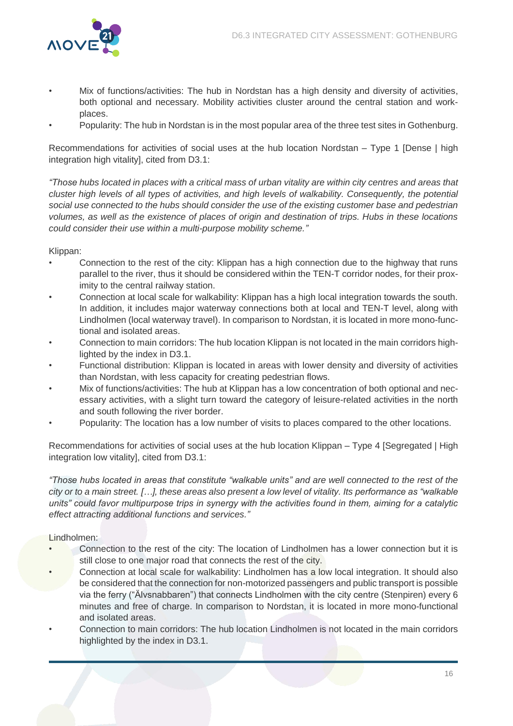

- Mix of functions/activities: The hub in Nordstan has a high density and diversity of activities, both optional and necessary. Mobility activities cluster around the central station and workplaces.
- Popularity: The hub in Nordstan is in the most popular area of the three test sites in Gothenburg.

Recommendations for activities of social uses at the hub location Nordstan – Type 1 [Dense | high integration high vitality], cited from D3.1:

*"Those h*ubs located in places with a critical mass of urban vitality are within city centres and areas that cluster high levels of all types of activities, and high levels of walkability. Consequently, the potential social use connected to the hubs should consider the use of the existing customer base and pedestrian volumes, as well as the existence of places of origin and destination of trips. Hubs in these locations could consider their use within a multi-purpose mobility scheme.*"*

Klippan:

- Connection to the rest of the city: Klippan has a high connection due to the highway that runs parallel to the river, thus it should be considered within the TEN-T corridor nodes, for their proximity to the central railway station.
- Connection at local scale for walkability: Klippan has a high local integration towards the south. In addition, it includes major waterway connections both at local and TEN-T level, along with Lindholmen (local waterway travel). In comparison to Nordstan, it is located in more mono-functional and isolated areas.
- Connection to main corridors: The hub location Klippan is not located in the main corridors highlighted by the index in D3.1.
- Functional distribution: Klippan is located in areas with lower density and diversity of activities than Nordstan, with less capacity for creating pedestrian flows.
- Mix of functions/activities: The hub at Klippan has a low concentration of both optional and necessary activities, with a slight turn toward the category of leisure-related activities in the north and south following the river border.
- Popularity: The location has a low number of visits to places compared to the other locations.

Recommendations for activities of social uses at the hub location Klippan – Type 4 [Segregated | High integration low vitality], cited from D3.1:

*"Those hubs located in areas that constitute "walkable units" and* are well connected to the rest of the city or to a main street. *[…]*, these areas also present a low level of vitality. Its *performance as "walkable units" could favor multipurpose trips in synergy with the activities found in them, aiming for a catalytic*  effect attracting additional functions and services.*"*

#### Lindholmen:

- Connection to the rest of the city: The location of Lindholmen has a lower connection but it is still close to one major road that connects the rest of the city.
- Connection at local scale for walkability: Lindholmen has a low local integration. It should also be considered that the connection for non-motorized passengers and public transport is possible via the ferry ("Älvsnabbaren") that connects Lindholmen with the city centre (Stenpiren) every 6 minutes and free of charge. In comparison to Nordstan, it is located in more mono-functional and isolated areas.
- Connection to main corridors: The hub location Lindholmen is not located in the main corridors highlighted by the index in D3.1.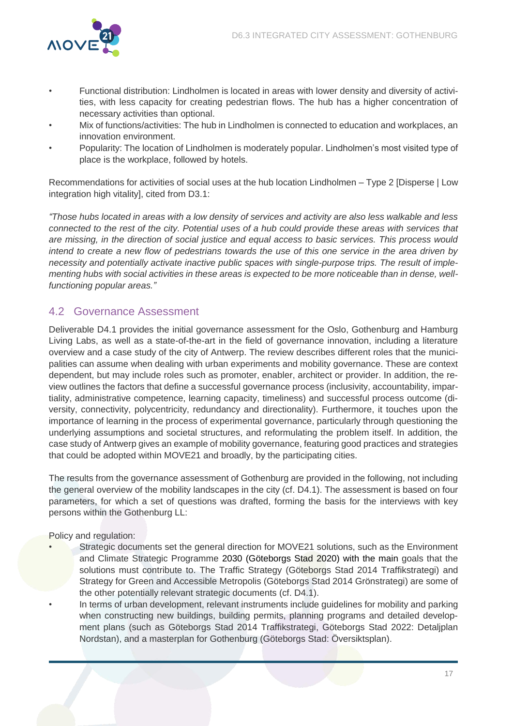

- Functional distribution: Lindholmen is located in areas with lower density and diversity of activities, with less capacity for creating pedestrian flows. The hub has a higher concentration of necessary activities than optional.
- Mix of functions/activities: The hub in Lindholmen is connected to education and workplaces, an innovation environment.
- Popularity: The location of Lindholmen is moderately popular. Lindholmen's most visited type of place is the workplace, followed by hotels.

Recommendations for activities of social uses at the hub location Lindholmen – Type 2 [Disperse | Low integration high vitality], cited from D3.1:

*"*Those hubs located in areas with a low density of services and activity are also less walkable and less connected to the rest of the city. Potential uses of a hub could provide these areas with services that are missing, in the direction of social justice and equal access to basic services. This process would intend to create a new flow of pedestrians towards the use of this one service in the area driven by necessity and potentially activate inactive public spaces with single-purpose trips. The result of implementing hubs with social activities in these areas is expected to be more noticeable than in dense, wellfunctioning popular areas.*"*

### <span id="page-17-0"></span>4.2 Governance Assessment

Deliverable D4.1 provides the initial governance assessment for the Oslo, Gothenburg and Hamburg Living Labs, as well as a state-of-the-art in the field of governance innovation, including a literature overview and a case study of the city of Antwerp. The review describes different roles that the municipalities can assume when dealing with urban experiments and mobility governance. These are context dependent, but may include roles such as promoter, enabler, architect or provider. In addition, the review outlines the factors that define a successful governance process (inclusivity, accountability, impartiality, administrative competence, learning capacity, timeliness) and successful process outcome (diversity, connectivity, polycentricity, redundancy and directionality). Furthermore, it touches upon the importance of learning in the process of experimental governance, particularly through questioning the underlying assumptions and societal structures, and reformulating the problem itself. In addition, the case study of Antwerp gives an example of mobility governance, featuring good practices and strategies that could be adopted within MOVE21 and broadly, by the participating cities.

The results from the governance assessment of Gothenburg are provided in the following, not including the general overview of the mobility landscapes in the city (cf. D4.1). The assessment is based on four parameters, for which a set of questions was drafted, forming the basis for the interviews with key persons within the Gothenburg LL:

Policy and regulation:

- Strategic documents set the general direction for MOVE21 solutions, such as the Environment and Climate Strategic Programme 2030 (Göteborgs Stad 2020) with the main goals that the solutions must contribute to. The Traffic Strategy (Göteborgs Stad 2014 Traffikstrategi) and Strategy for Green and Accessible Metropolis (Göteborgs Stad 2014 Grönstrategi) are some of the other potentially relevant strategic documents (cf. D4.1).
- In terms of urban development, relevant instruments include guidelines for mobility and parking when constructing new buildings, building permits, planning programs and detailed development plans (such as Göteborgs Stad 2014 Traffikstrategi, Göteborgs Stad 2022: Detaljplan Nordstan), and a masterplan for Gothenburg (Göteborgs Stad: Översiktsplan).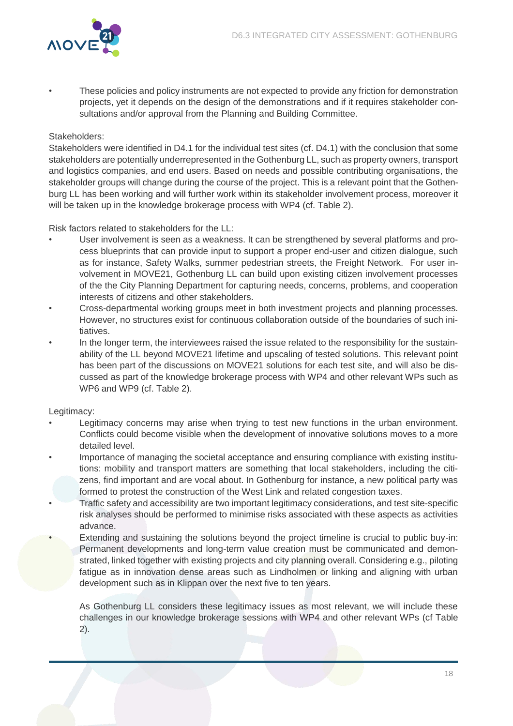

• These policies and policy instruments are not expected to provide any friction for demonstration projects, yet it depends on the design of the demonstrations and if it requires stakeholder consultations and/or approval from the Planning and Building Committee.

#### Stakeholders:

Stakeholders were identified in D4.1 for the individual test sites (cf. D4.1) with the conclusion that some stakeholders are potentially underrepresented in the Gothenburg LL, such as property owners, transport and logistics companies, and end users. Based on needs and possible contributing organisations, the stakeholder groups will change during the course of the project. This is a relevant point that the Gothenburg LL has been working and will further work within its stakeholder involvement process, moreover it will be taken up in the knowledge brokerage process with WP4 (cf. [Table 2\)](#page-27-0).

Risk factors related to stakeholders for the LL:

- User involvement is seen as a weakness. It can be strengthened by several platforms and process blueprints that can provide input to support a proper end-user and citizen dialogue, such as for instance, Safety Walks, summer pedestrian streets, the Freight Network. For user involvement in MOVE21, Gothenburg LL can build upon existing citizen involvement processes of the the City Planning Department for capturing needs, concerns, problems, and cooperation interests of citizens and other stakeholders.
- Cross-departmental working groups meet in both investment projects and planning processes. However, no structures exist for continuous collaboration outside of the boundaries of such initiatives.
- In the longer term, the interviewees raised the issue related to the responsibility for the sustainability of the LL beyond MOVE21 lifetime and upscaling of tested solutions. This relevant point has been part of the discussions on MOVE21 solutions for each test site, and will also be discussed as part of the knowledge brokerage process with WP4 and other relevant WPs such as WP6 and WP9 (cf. [Table 2\)](#page-27-0).

#### Legitimacy:

- Legitimacy concerns may arise when trying to test new functions in the urban environment. Conflicts could become visible when the development of innovative solutions moves to a more detailed level.
- Importance of managing the societal acceptance and ensuring compliance with existing institutions: mobility and transport matters are something that local stakeholders, including the citizens, find important and are vocal about. In Gothenburg for instance, a new political party was formed to protest the construction of the West Link and related congestion taxes.
- Traffic safety and accessibility are two important legitimacy considerations, and test site-specific risk analyses should be performed to minimise risks associated with these aspects as activities advance.
- Extending and sustaining the solutions beyond the project timeline is crucial to public buy-in: Permanent developments and long-term value creation must be communicated and demonstrated, linked together with existing projects and city planning overall. Considering e.g., piloting fatigue as in innovation dense areas such as Lindholmen or linking and aligning with urban development such as in Klippan over the next five to ten years.

As Gothenburg LL considers these legitimacy issues as most relevant, we will include these challenges in our knowledge brokerage sessions with WP4 and other relevant WPs (cf [Table](#page-27-0)  [2\)](#page-27-0).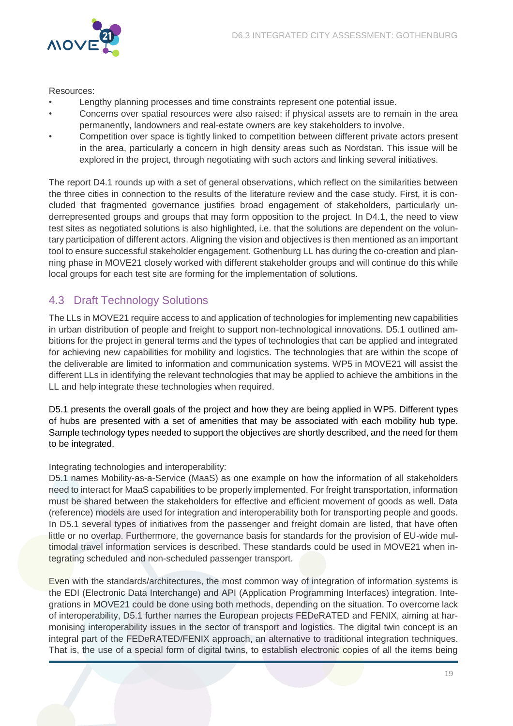

#### Resources:

- Lengthy planning processes and time constraints represent one potential issue.
- Concerns over spatial resources were also raised: if physical assets are to remain in the area permanently, landowners and real-estate owners are key stakeholders to involve.
- Competition over space is tightly linked to competition between different private actors present in the area, particularly a concern in high density areas such as Nordstan. This issue will be explored in the project, through negotiating with such actors and linking several initiatives.

The report D4.1 rounds up with a set of general observations, which reflect on the similarities between the three cities in connection to the results of the literature review and the case study. First, it is concluded that fragmented governance justifies broad engagement of stakeholders, particularly underrepresented groups and groups that may form opposition to the project. In D4.1, the need to view test sites as negotiated solutions is also highlighted, i.e. that the solutions are dependent on the voluntary participation of different actors. Aligning the vision and objectives is then mentioned as an important tool to ensure successful stakeholder engagement. Gothenburg LL has during the co-creation and planning phase in MOVE21 closely worked with different stakeholder groups and will continue do this while local groups for each test site are forming for the implementation of solutions.

### <span id="page-19-0"></span>4.3 Draft Technology Solutions

The LLs in MOVE21 require access to and application of technologies for implementing new capabilities in urban distribution of people and freight to support non-technological innovations. D5.1 outlined ambitions for the project in general terms and the types of technologies that can be applied and integrated for achieving new capabilities for mobility and logistics. The technologies that are within the scope of the deliverable are limited to information and communication systems. WP5 in MOVE21 will assist the different LLs in identifying the relevant technologies that may be applied to achieve the ambitions in the LL and help integrate these technologies when required.

D5.1 presents the overall goals of the project and how they are being applied in WP5. Different types of hubs are presented with a set of amenities that may be associated with each mobility hub type. Sample technology types needed to support the objectives are shortly described, and the need for them to be integrated.

#### Integrating technologies and interoperability:

D5.1 names Mobility-as-a-Service (MaaS) as one example on how the information of all stakeholders need to interact for MaaS capabilities to be properly implemented. For freight transportation, information must be shared between the stakeholders for effective and efficient movement of goods as well. Data (reference) models are used for integration and interoperability both for transporting people and goods. In D5.1 several types of initiatives from the passenger and freight domain are listed, that have often little or no overlap. Furthermore, the governance basis for standards for the provision of EU-wide multimodal travel information services is described. These standards could be used in MOVE21 when integrating scheduled and non-scheduled passenger transport.

Even with the standards/architectures, the most common way of integration of information systems is the EDI (Electronic Data Interchange) and API (Application Programming Interfaces) integration. Integrations in MOVE21 could be done using both methods, depending on the situation. To overcome lack of interoperability, D5.1 further names the European projects FEDeRATED and FENIX, aiming at harmonising interoperability issues in the sector of transport and logistics. The digital twin concept is an integral part of the FEDeRATED/FENIX approach, an alternative to traditional integration techniques. That is, the use of a special form of digital twins, to establish electronic copies of all the items being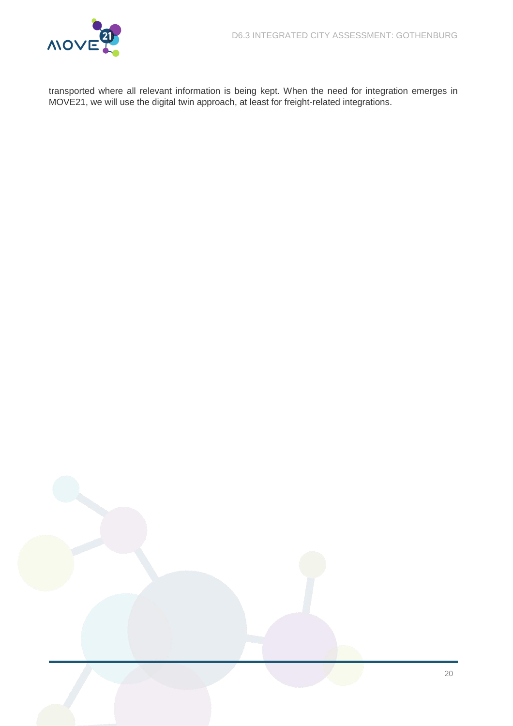

<span id="page-20-0"></span>transported where all relevant information is being kept. When the need for integration emerges in MOVE21, we will use the digital twin approach, at least for freight-related integrations.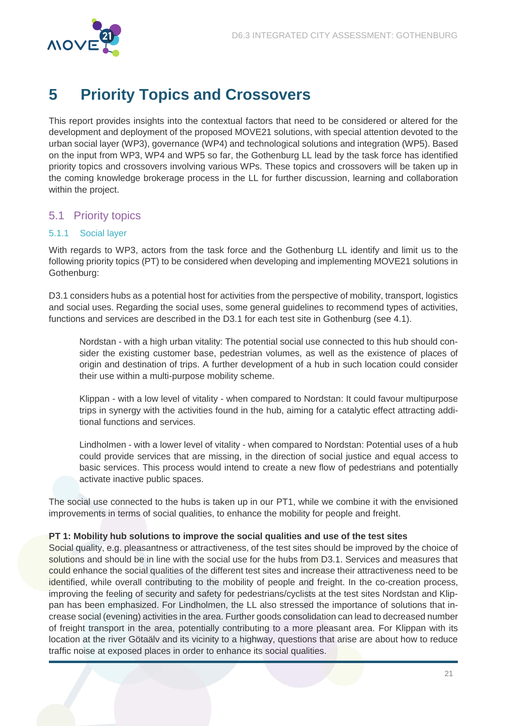

# <span id="page-21-0"></span>**5 Priority Topics and Crossovers**

This report provides insights into the contextual factors that need to be considered or altered for the development and deployment of the proposed MOVE21 solutions, with special attention devoted to the urban social layer (WP3), governance (WP4) and technological solutions and integration (WP5). Based on the input from WP3, WP4 and WP5 so far, the Gothenburg LL lead by the task force has identified priority topics and crossovers involving various WPs. These topics and crossovers will be taken up in the coming knowledge brokerage process in the LL for further discussion, learning and collaboration within the project.

### <span id="page-21-1"></span>5.1 Priority topics

#### <span id="page-21-2"></span>5.1.1 Social layer

With regards to WP3, actors from the task force and the Gothenburg LL identify and limit us to the following priority topics (PT) to be considered when developing and implementing MOVE21 solutions in Gothenburg:

D3.1 considers hubs as a potential host for activities from the perspective of mobility, transport, logistics and social uses. Regarding the social uses, some general guidelines to recommend types of activities, functions and services are described in the D3.1 for each test site in Gothenburg (see [4.1\)](#page-15-1).

Nordstan - with a high urban vitality: The potential social use connected to this hub should consider the existing customer base, pedestrian volumes, as well as the existence of places of origin and destination of trips. A further development of a hub in such location could consider their use within a multi-purpose mobility scheme.

Klippan - with a low level of vitality - when compared to Nordstan: It could favour multipurpose trips in synergy with the activities found in the hub, aiming for a catalytic effect attracting additional functions and services.

Lindholmen - with a lower level of vitality - when compared to Nordstan: Potential uses of a hub could provide services that are missing, in the direction of social justice and equal access to basic services. This process would intend to create a new flow of pedestrians and potentially activate inactive public spaces.

The social use connected to the hubs is taken up in our PT1, while we combine it with the envisioned improvements in terms of social qualities, to enhance the mobility for people and freight.

#### **PT 1: Mobility hub solutions to improve the social qualities and use of the test sites**

Social quality, e.g. pleasantness or attractiveness, of the test sites should be improved by the choice of solutions and should be in line with the social use for the hubs from D3.1. Services and measures that could enhance the social qualities of the different test sites and increase their attractiveness need to be identified, while overall contributing to the mobility of people and freight. In the co-creation process, improving the feeling of security and safety for pedestrians/cyclists at the test sites Nordstan and Klippan has been emphasized. For Lindholmen, the LL also stressed the importance of solutions that increase social (evening) activities in the area. Further goods consolidation can lead to decreased number of freight transport in the area, potentially contributing to a more pleasant area. For Klippan with its location at the river Götaälv and its vicinity to a highway, questions that arise are about how to reduce traffic noise at exposed places in order to enhance its social qualities.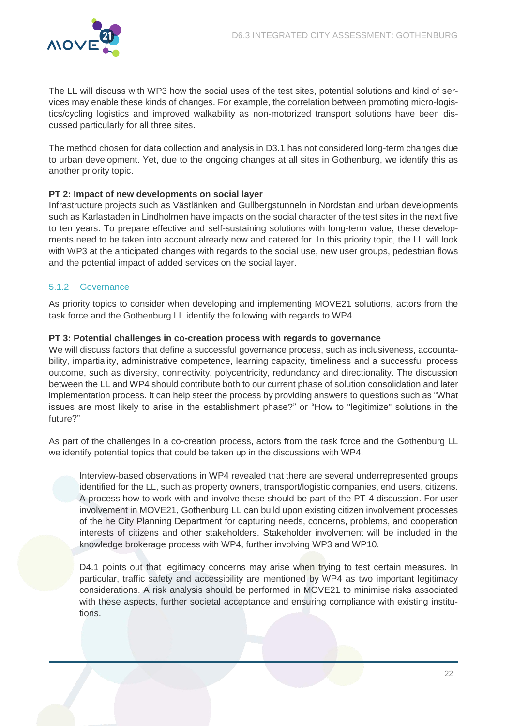

The LL will discuss with WP3 how the social uses of the test sites, potential solutions and kind of services may enable these kinds of changes. For example, the correlation between promoting micro-logistics/cycling logistics and improved walkability as non-motorized transport solutions have been discussed particularly for all three sites.

The method chosen for data collection and analysis in D3.1 has not considered long-term changes due to urban development. Yet, due to the ongoing changes at all sites in Gothenburg, we identify this as another priority topic.

#### **PT 2: Impact of new developments on social layer**

Infrastructure projects such as Västlänken and Gullbergstunneln in Nordstan and urban developments such as Karlastaden in Lindholmen have impacts on the social character of the test sites in the next five to ten years. To prepare effective and self-sustaining solutions with long-term value, these developments need to be taken into account already now and catered for. In this priority topic, the LL will look with WP3 at the anticipated changes with regards to the social use, new user groups, pedestrian flows and the potential impact of added services on the social layer.

#### <span id="page-22-0"></span>5.1.2 Governance

As priority topics to consider when developing and implementing MOVE21 solutions, actors from the task force and the Gothenburg LL identify the following with regards to WP4.

#### **PT 3: Potential challenges in co-creation process with regards to governance**

We will discuss factors that define a successful governance process, such as inclusiveness, accountability, impartiality, administrative competence, learning capacity, timeliness and a successful process outcome, such as diversity, connectivity, polycentricity, redundancy and directionality. The discussion between the LL and WP4 should contribute both to our current phase of solution consolidation and later implementation process. It can help steer the process by providing answers to questions such as "What issues are most likely to arise in the establishment phase?" or "How to "legitimize" solutions in the future?"

As part of the challenges in a co-creation process, actors from the task force and the Gothenburg LL we identify potential topics that could be taken up in the discussions with WP4.

Interview-based observations in WP4 revealed that there are several underrepresented groups identified for the LL, such as property owners, transport/logistic companies, end users, citizens. A process how to work with and involve these should be part of the PT 4 discussion. For user involvement in MOVE21, Gothenburg LL can build upon existing citizen involvement processes of the he City Planning Department for capturing needs, concerns, problems, and cooperation interests of citizens and other stakeholders. Stakeholder involvement will be included in the knowledge brokerage process with WP4, further involving WP3 and WP10.

D4.1 points out that legitimacy concerns may arise when trying to test certain measures. In particular, traffic safety and accessibility are mentioned by WP4 as two important legitimacy considerations. A risk analysis should be performed in MOVE21 to minimise risks associated with these aspects, further societal acceptance and ensuring compliance with existing institutions.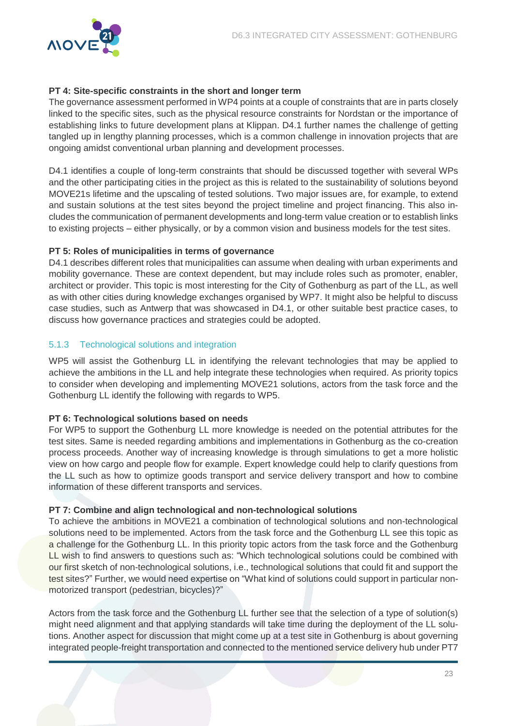

#### **PT 4: Site-specific constraints in the short and longer term**

The governance assessment performed in WP4 points at a couple of constraints that are in parts closely linked to the specific sites, such as the physical resource constraints for Nordstan or the importance of establishing links to future development plans at Klippan. D4.1 further names the challenge of getting tangled up in lengthy planning processes, which is a common challenge in innovation projects that are ongoing amidst conventional urban planning and development processes.

D4.1 identifies a couple of long-term constraints that should be discussed together with several WPs and the other participating cities in the project as this is related to the sustainability of solutions beyond MOVE21s lifetime and the upscaling of tested solutions. Two major issues are, for example, to extend and sustain solutions at the test sites beyond the project timeline and project financing. This also includes the communication of permanent developments and long-term value creation or to establish links to existing projects – either physically, or by a common vision and business models for the test sites.

#### **PT 5: Roles of municipalities in terms of governance**

D4.1 describes different roles that municipalities can assume when dealing with urban experiments and mobility governance. These are context dependent, but may include roles such as promoter, enabler, architect or provider. This topic is most interesting for the City of Gothenburg as part of the LL, as well as with other cities during knowledge exchanges organised by WP7. It might also be helpful to discuss case studies, such as Antwerp that was showcased in D4.1, or other suitable best practice cases, to discuss how governance practices and strategies could be adopted.

#### <span id="page-23-0"></span>5.1.3 Technological solutions and integration

WP5 will assist the Gothenburg LL in identifying the relevant technologies that may be applied to achieve the ambitions in the LL and help integrate these technologies when required. As priority topics to consider when developing and implementing MOVE21 solutions, actors from the task force and the Gothenburg LL identify the following with regards to WP5.

#### **PT 6: Technological solutions based on needs**

For WP5 to support the Gothenburg LL more knowledge is needed on the potential attributes for the test sites. Same is needed regarding ambitions and implementations in Gothenburg as the co-creation process proceeds. Another way of increasing knowledge is through simulations to get a more holistic view on how cargo and people flow for example. Expert knowledge could help to clarify questions from the LL such as how to optimize goods transport and service delivery transport and how to combine information of these different transports and services.

#### **PT 7: Combine and align technological and non-technological solutions**

To achieve the ambitions in MOVE21 a combination of technological solutions and non-technological solutions need to be implemented. Actors from the task force and the Gothenburg LL see this topic as a challenge for the Gothenburg LL. In this priority topic actors from the task force and the Gothenburg LL wish to find answers to questions such as: "Which technological solutions could be combined with our first sketch of non-technological solutions, i.e., technological solutions that could fit and support the test sites?" Further, we would need expertise on "What kind of solutions could support in particular nonmotorized transport (pedestrian, bicycles)?"

Actors from the task force and the Gothenburg LL further see that the selection of a type of solution(s) might need alignment and that applying standards will take time during the deployment of the LL solutions. Another aspect for discussion that might come up at a test site in Gothenburg is about governing integrated people-freight transportation and connected to the mentioned service delivery hub under PT7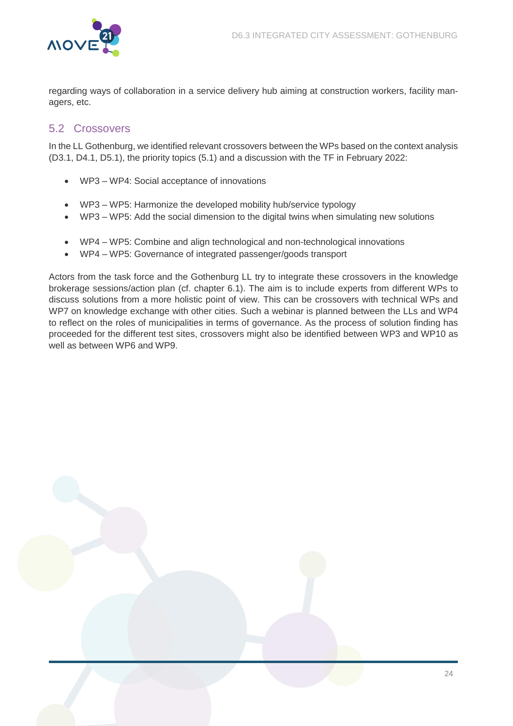

regarding ways of collaboration in a service delivery hub aiming at construction workers, facility managers, etc.

### <span id="page-24-0"></span>5.2 Crossovers

In the LL Gothenburg, we identified relevant crossovers between the WPs based on the context analysis (D3.1, D4.1, D5.1), the priority topics [\(5.1\)](#page-21-1) and a discussion with the TF in February 2022:

- WP3 WP4: Social acceptance of innovations
- WP3 WP5: Harmonize the developed mobility hub/service typology
- WP3 WP5: Add the social dimension to the digital twins when simulating new solutions
- WP4 WP5: Combine and align technological and non-technological innovations
- WP4 WP5: Governance of integrated passenger/goods transport

<span id="page-24-1"></span>Actors from the task force and the Gothenburg LL try to integrate these crossovers in the knowledge brokerage sessions/action plan (cf. chapter [6.1\)](#page-25-1). The aim is to include experts from different WPs to discuss solutions from a more holistic point of view. This can be crossovers with technical WPs and WP7 on knowledge exchange with other cities. Such a webinar is planned between the LLs and WP4 to reflect on the roles of municipalities in terms of governance. As the process of solution finding has proceeded for the different test sites, crossovers might also be identified between WP3 and WP10 as well as between WP6 and WP9.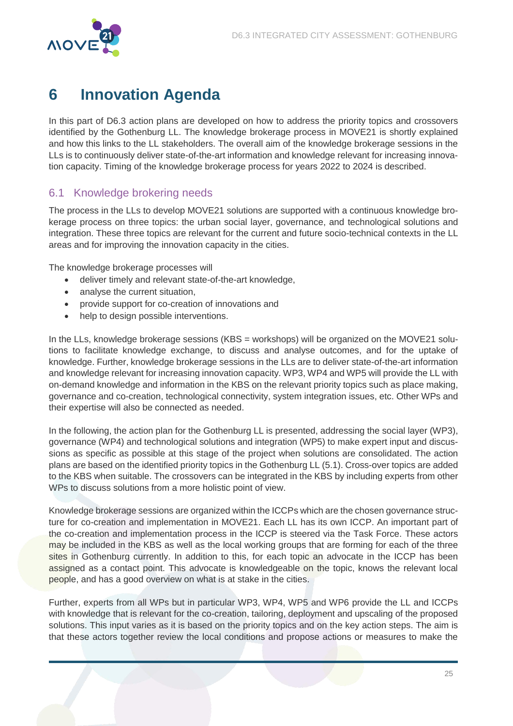

# <span id="page-25-0"></span>**6 Innovation Agenda**

In this part of D6.3 action plans are developed on how to address the priority topics and crossovers identified by the Gothenburg LL. The knowledge brokerage process in MOVE21 is shortly explained and how this links to the LL stakeholders. The overall aim of the knowledge brokerage sessions in the LLs is to continuously deliver state-of-the-art information and knowledge relevant for increasing innovation capacity. Timing of the knowledge brokerage process for years 2022 to 2024 is described.

### <span id="page-25-1"></span>6.1 Knowledge brokering needs

The process in the LLs to develop MOVE21 solutions are supported with a continuous knowledge brokerage process on three topics: the urban social layer, governance, and technological solutions and integration. These three topics are relevant for the current and future socio-technical contexts in the LL areas and for improving the innovation capacity in the cities.

The knowledge brokerage processes will

- deliver timely and relevant state-of-the-art knowledge,
- analyse the current situation,
- provide support for co-creation of innovations and
- help to design possible interventions.

In the LLs, knowledge brokerage sessions (KBS = workshops) will be organized on the MOVE21 solutions to facilitate knowledge exchange, to discuss and analyse outcomes, and for the uptake of knowledge. Further, knowledge brokerage sessions in the LLs are to deliver state-of-the-art information and knowledge relevant for increasing innovation capacity. WP3, WP4 and WP5 will provide the LL with on-demand knowledge and information in the KBS on the relevant priority topics such as place making, governance and co-creation, technological connectivity, system integration issues, etc. Other WPs and their expertise will also be connected as needed.

In the following, the action plan for the Gothenburg LL is presented, addressing the social layer (WP3), governance (WP4) and technological solutions and integration (WP5) to make expert input and discussions as specific as possible at this stage of the project when solutions are consolidated. The action plans are based on the identified priority topics in the Gothenburg LL (5.1). Cross-over topics are added to the KBS when suitable. The crossovers can be integrated in the KBS by including experts from other WPs to discuss solutions from a more holistic point of view.

Knowledge brokerage sessions are organized within the ICCPs which are the chosen governance structure for co-creation and implementation in MOVE21. Each LL has its own ICCP. An important part of the co-creation and implementation process in the ICCP is steered via the Task Force. These actors may be included in the KBS as well as the local working groups that are forming for each of the three sites in Gothenburg currently. In addition to this, for each topic an advocate in the ICCP has been assigned as a contact point. This advocate is knowledgeable on the topic, knows the relevant local people, and has a good overview on what is at stake in the cities.

Further, experts from all WPs but in particular WP3, WP4, WP5 and WP6 provide the LL and ICCPs with knowledge that is relevant for the co-creation, tailoring, deployment and upscaling of the proposed solutions. This input varies as it is based on the priority topics and on the key action steps. The aim is that these actors together review the local conditions and propose actions or measures to make the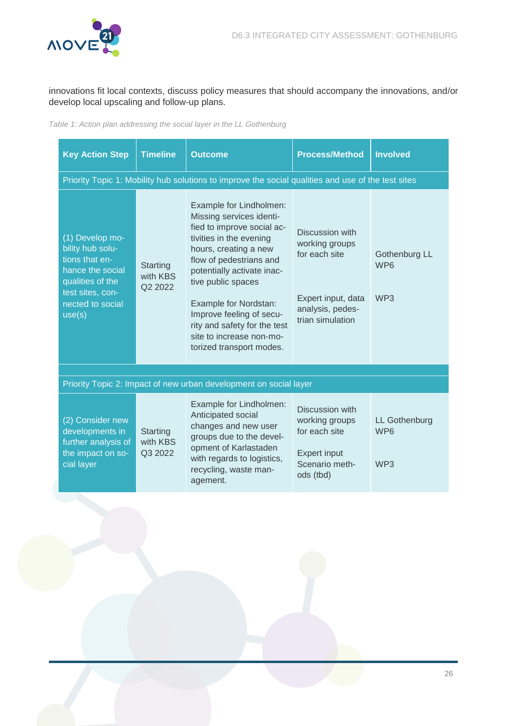

innovations fit local contexts, discuss policy measures that should accompany the innovations, and/or develop local upscaling and follow-up plans.

<span id="page-26-0"></span>Table 1: Action plan addressing the social layer in the LL Gothenburg

| <b>Key Action Step</b>                                                                                                                          | <b>Timeline</b>                        | <b>Outcome</b>                                                                                                                                                                                                                                                                                                                                                    | <b>Process/Method</b>                                                                                            | <b>Involved</b>                                     |
|-------------------------------------------------------------------------------------------------------------------------------------------------|----------------------------------------|-------------------------------------------------------------------------------------------------------------------------------------------------------------------------------------------------------------------------------------------------------------------------------------------------------------------------------------------------------------------|------------------------------------------------------------------------------------------------------------------|-----------------------------------------------------|
|                                                                                                                                                 |                                        | Priority Topic 1: Mobility hub solutions to improve the social qualities and use of the test sites                                                                                                                                                                                                                                                                |                                                                                                                  |                                                     |
| (1) Develop mo-<br>bility hub solu-<br>tions that en-<br>hance the social<br>qualities of the<br>test sites, con-<br>nected to social<br>use(s) | Starting<br>with KBS<br>Q2 2022        | Example for Lindholmen:<br>Missing services identi-<br>fied to improve social ac-<br>tivities in the evening<br>hours, creating a new<br>flow of pedestrians and<br>potentially activate inac-<br>tive public spaces<br>Example for Nordstan:<br>Improve feeling of secu-<br>rity and safety for the test<br>site to increase non-mo-<br>torized transport modes. | Discussion with<br>working groups<br>for each site<br>Expert input, data<br>analysis, pedes-<br>trian simulation | Gothenburg LL<br>WP <sub>6</sub><br>WP <sub>3</sub> |
|                                                                                                                                                 |                                        |                                                                                                                                                                                                                                                                                                                                                                   |                                                                                                                  |                                                     |
|                                                                                                                                                 |                                        | Priority Topic 2: Impact of new urban development on social layer                                                                                                                                                                                                                                                                                                 |                                                                                                                  |                                                     |
| (2) Consider new<br>developments in<br>further analysis of<br>the impact on so-<br>cial layer                                                   | <b>Starting</b><br>with KBS<br>Q3 2022 | Example for Lindholmen:<br>Anticipated social<br>changes and new user<br>groups due to the devel-<br>opment of Karlastaden<br>with regards to logistics,<br>recycling, waste man-<br>agement.                                                                                                                                                                     | Discussion with<br>working groups<br>for each site<br><b>Expert input</b><br>Scenario meth-<br>ods (tbd)         | LL Gothenburg<br>WP <sub>6</sub><br>WP3             |
|                                                                                                                                                 |                                        |                                                                                                                                                                                                                                                                                                                                                                   |                                                                                                                  |                                                     |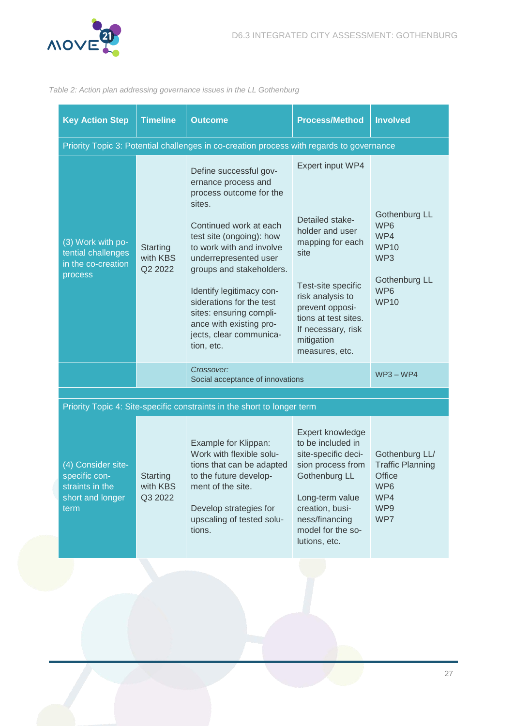

#### <span id="page-27-0"></span>Table 2: Action plan addressing governance issues in the LL Gothenburg

| <b>Key Action Step</b>                                                             | <b>Timeline</b>                        | <b>Outcome</b>                                                                                                                                                                                                                                                                                                                                                                   | <b>Process/Method</b>                                                                                                                                                                                                         | <b>Involved</b>                                                                                      |
|------------------------------------------------------------------------------------|----------------------------------------|----------------------------------------------------------------------------------------------------------------------------------------------------------------------------------------------------------------------------------------------------------------------------------------------------------------------------------------------------------------------------------|-------------------------------------------------------------------------------------------------------------------------------------------------------------------------------------------------------------------------------|------------------------------------------------------------------------------------------------------|
|                                                                                    |                                        | Priority Topic 3: Potential challenges in co-creation process with regards to governance                                                                                                                                                                                                                                                                                         |                                                                                                                                                                                                                               |                                                                                                      |
| (3) Work with po-<br>tential challenges<br>in the co-creation<br>process           | <b>Starting</b><br>with KBS<br>Q2 2022 | Define successful gov-<br>ernance process and<br>process outcome for the<br>sites.<br>Continued work at each<br>test site (ongoing): how<br>to work with and involve<br>underrepresented user<br>groups and stakeholders.<br>Identify legitimacy con-<br>siderations for the test<br>sites: ensuring compli-<br>ance with existing pro-<br>jects, clear communica-<br>tion, etc. | Expert input WP4<br>Detailed stake-<br>holder and user<br>mapping for each<br>site<br>Test-site specific<br>risk analysis to<br>prevent opposi-<br>tions at test sites.<br>If necessary, risk<br>mitigation<br>measures, etc. | Gothenburg LL<br>WP6<br>WP4<br><b>WP10</b><br>WP3<br>Gothenburg LL<br>WP <sub>6</sub><br><b>WP10</b> |
|                                                                                    |                                        | Crossover:<br>Social acceptance of innovations                                                                                                                                                                                                                                                                                                                                   |                                                                                                                                                                                                                               | $WP3 - WP4$                                                                                          |
|                                                                                    |                                        |                                                                                                                                                                                                                                                                                                                                                                                  |                                                                                                                                                                                                                               |                                                                                                      |
|                                                                                    |                                        | Priority Topic 4: Site-specific constraints in the short to longer term                                                                                                                                                                                                                                                                                                          |                                                                                                                                                                                                                               |                                                                                                      |
| (4) Consider site-<br>specific con-<br>straints in the<br>short and longer<br>term | Starting<br>with KBS<br>Q3 2022        | Example for Klippan:<br>Work with flexible solu-<br>tions that can be adapted<br>to the future develop-<br>ment of the site.<br>Develop strategies for<br>upscaling of tested solu-<br>tions.                                                                                                                                                                                    | Expert knowledge<br>to be included in<br>site-specific deci-<br>sion process from<br>Gothenburg LL<br>Long-term value<br>creation, busi-<br>ness/financing<br>model for the so-<br>lutions, etc.                              | Gothenburg LL/<br><b>Traffic Planning</b><br>Office<br>WP6<br>WP4<br>WP9<br>WP7                      |
|                                                                                    |                                        |                                                                                                                                                                                                                                                                                                                                                                                  |                                                                                                                                                                                                                               |                                                                                                      |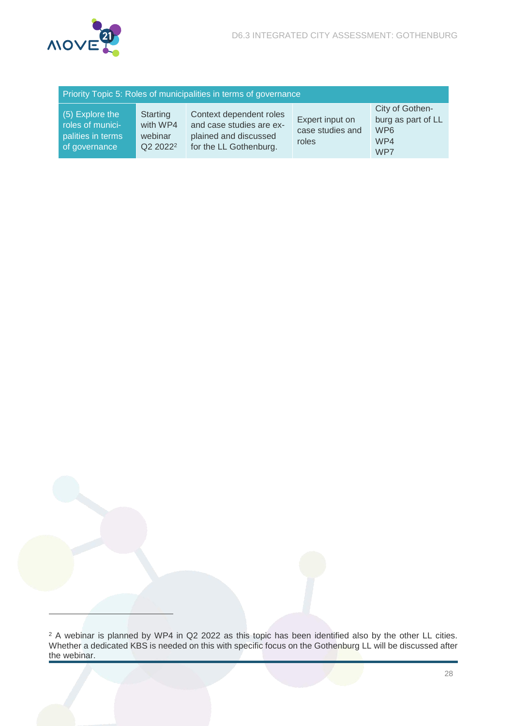

 $\overline{a}$ 

| Priority Topic 5: Roles of municipalities in terms of governance          |                                                         |                                                                                                        |                                              |                                                                        |  |
|---------------------------------------------------------------------------|---------------------------------------------------------|--------------------------------------------------------------------------------------------------------|----------------------------------------------|------------------------------------------------------------------------|--|
| (5) Explore the<br>roles of munici-<br>palities in terms<br>of governance | Starting<br>with WP4<br>webinar<br>Q2 2022 <sup>2</sup> | Context dependent roles<br>and case studies are ex-<br>plained and discussed<br>for the LL Gothenburg. | Expert input on<br>case studies and<br>roles | City of Gothen-<br>burg as part of LL<br>WP <sub>6</sub><br>WP4<br>WP7 |  |

 $2$  A webinar is planned by WP4 in Q2 2022 as this topic has been identified also by the other LL cities. Whether a dedicated KBS is needed on this with specific focus on the Gothenburg LL will be discussed after the webinar.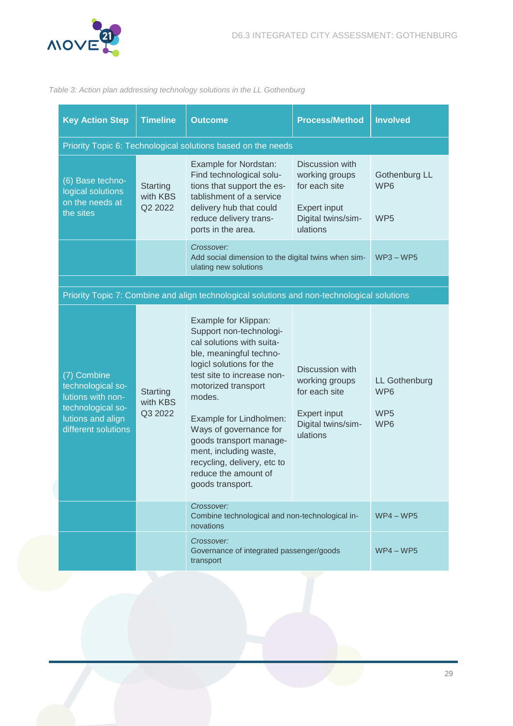

#### <span id="page-29-0"></span>Table 3: Action plan addressing technology solutions in the LL Gothenburg

| <b>Key Action Step</b>                                                                                                 | <b>Timeline</b>                 | <b>Outcome</b>                                                                                                                                                                                                                                                                                                                                                                          | <b>Process/Method</b>                                                                                       | <b>Involved</b>                                                   |
|------------------------------------------------------------------------------------------------------------------------|---------------------------------|-----------------------------------------------------------------------------------------------------------------------------------------------------------------------------------------------------------------------------------------------------------------------------------------------------------------------------------------------------------------------------------------|-------------------------------------------------------------------------------------------------------------|-------------------------------------------------------------------|
| Priority Topic 6: Technological solutions based on the needs                                                           |                                 |                                                                                                                                                                                                                                                                                                                                                                                         |                                                                                                             |                                                                   |
| (6) Base techno-<br>logical solutions<br>on the needs at<br>the sites                                                  | Starting<br>with KBS<br>Q2 2022 | Example for Nordstan:<br>Find technological solu-<br>tions that support the es-<br>tablishment of a service<br>delivery hub that could<br>reduce delivery trans-<br>ports in the area.                                                                                                                                                                                                  | Discussion with<br>working groups<br>for each site<br><b>Expert input</b><br>Digital twins/sim-<br>ulations | Gothenburg LL<br>WP <sub>6</sub><br>WP <sub>5</sub>               |
|                                                                                                                        |                                 | Crossover:<br>Add social dimension to the digital twins when sim-<br>ulating new solutions                                                                                                                                                                                                                                                                                              |                                                                                                             | $WP3 - WP5$                                                       |
|                                                                                                                        |                                 |                                                                                                                                                                                                                                                                                                                                                                                         |                                                                                                             |                                                                   |
|                                                                                                                        |                                 | Priority Topic 7: Combine and align technological solutions and non-technological solutions                                                                                                                                                                                                                                                                                             |                                                                                                             |                                                                   |
| (7) Combine<br>technological so-<br>lutions with non-<br>technological so-<br>lutions and align<br>different solutions | Starting<br>with KBS<br>Q3 2022 | Example for Klippan:<br>Support non-technologi-<br>cal solutions with suita-<br>ble, meaningful techno-<br>logicl solutions for the<br>test site to increase non-<br>motorized transport<br>modes.<br>Example for Lindholmen:<br>Ways of governance for<br>goods transport manage-<br>ment, including waste,<br>recycling, delivery, etc to<br>reduce the amount of<br>goods transport. | Discussion with<br>working groups<br>for each site<br><b>Expert input</b><br>Digital twins/sim-<br>ulations | <b>LL Gothenburg</b><br>WP <sub>6</sub><br>WP <sub>5</sub><br>WP6 |
|                                                                                                                        |                                 | Crossover:<br>Combine technological and non-technological in-<br>novations                                                                                                                                                                                                                                                                                                              |                                                                                                             | $WP4 - WP5$                                                       |
|                                                                                                                        |                                 | Crossover:<br>Governance of integrated passenger/goods<br>transport                                                                                                                                                                                                                                                                                                                     |                                                                                                             | $WP4 - WP5$                                                       |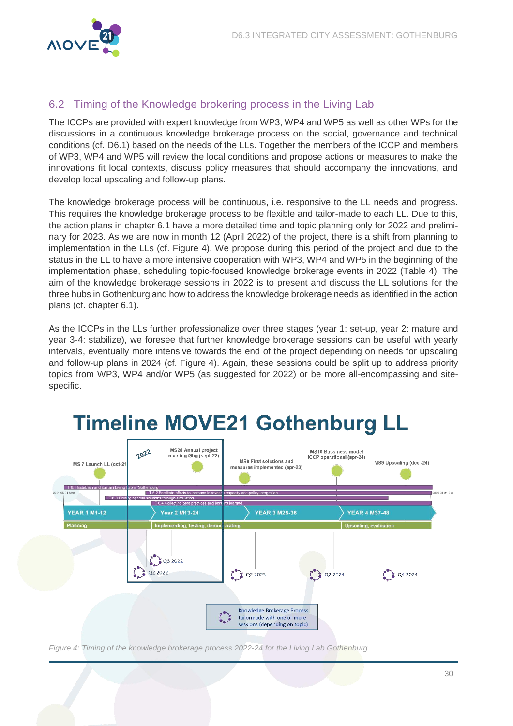

### <span id="page-30-0"></span>6.2 Timing of the Knowledge brokering process in the Living Lab

The ICCPs are provided with expert knowledge from WP3, WP4 and WP5 as well as other WPs for the discussions in a continuous knowledge brokerage process on the social, governance and technical conditions (cf. D6.1) based on the needs of the LLs. Together the members of the ICCP and members of WP3, WP4 and WP5 will review the local conditions and propose actions or measures to make the innovations fit local contexts, discuss policy measures that should accompany the innovations, and develop local upscaling and follow-up plans.

The knowledge brokerage process will be continuous, i.e. responsive to the LL needs and progress. This requires the knowledge brokerage process to be flexible and tailor-made to each LL. Due to this, the action plans in chapter [6.1](#page-25-1) have a more detailed time and topic planning only for 2022 and preliminary for 2023. As we are now in month 12 (April 2022) of the project, there is a shift from planning to implementation in the LLs (cf. [Figure 4\)](#page-30-1). We propose during this period of the project and due to the status in the LL to have a more intensive cooperation with WP3, WP4 and WP5 in the beginning of the implementation phase, scheduling topic-focused knowledge brokerage events in 2022 [\(Table 4\)](#page-31-0). The aim of the knowledge brokerage sessions in 2022 is to present and discuss the LL solutions for the three hubs in Gothenburg and how to address the knowledge brokerage needs as identified in the action plans (cf. chapter [6.1\)](#page-25-1).

As the ICCPs in the LLs further professionalize over three stages (year 1: set-up, year 2: mature and year 3-4: stabilize), we foresee that further knowledge brokerage sessions can be useful with yearly intervals, eventually more intensive towards the end of the project depending on needs for upscaling and follow-up plans in 2024 (cf. [Figure 4\)](#page-30-1). Again, these sessions could be split up to address priority topics from WP3, WP4 and/or WP5 (as suggested for 2022) or be more all-encompassing and sitespecific.



<span id="page-30-1"></span>Figure 4: Timing of the knowledge brokerage process 2022-24 for the Living Lab Gothenburg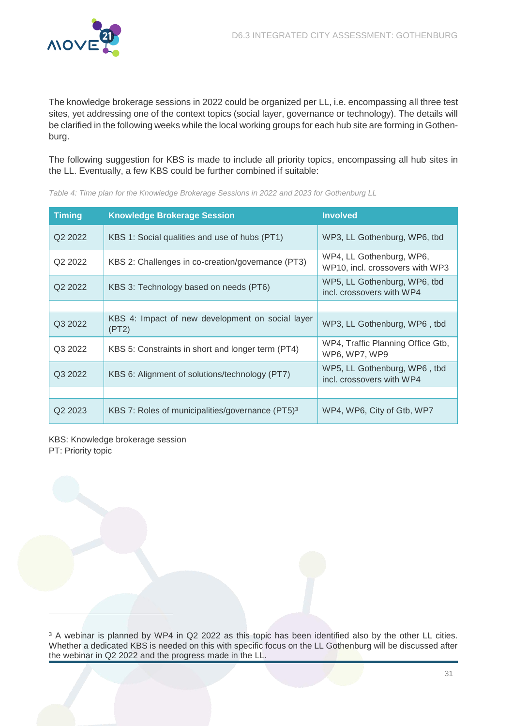

The knowledge brokerage sessions in 2022 could be organized per LL, i.e. encompassing all three test sites, yet addressing one of the context topics (social layer, governance or technology). The details will be clarified in the following weeks while the local working groups for each hub site are forming in Gothenburg.

The following suggestion for KBS is made to include all priority topics, encompassing all hub sites in the LL. Eventually, a few KBS could be further combined if suitable:

| <b>Timing</b>       | <b>Knowledge Brokerage Session</b>                           | <b>Involved</b>                                             |
|---------------------|--------------------------------------------------------------|-------------------------------------------------------------|
| Q2 2022             | KBS 1: Social qualities and use of hubs (PT1)                | WP3, LL Gothenburg, WP6, tbd                                |
| Q <sub>2</sub> 2022 | KBS 2: Challenges in co-creation/governance (PT3)            | WP4, LL Gothenburg, WP6,<br>WP10, incl. crossovers with WP3 |
| Q <sub>2</sub> 2022 | KBS 3: Technology based on needs (PT6)                       | WP5, LL Gothenburg, WP6, tbd<br>incl. crossovers with WP4   |
|                     |                                                              |                                                             |
| Q3 2022             | KBS 4: Impact of new development on social layer<br>(PT2)    | WP3, LL Gothenburg, WP6, tbd                                |
| Q3 2022             | KBS 5: Constraints in short and longer term (PT4)            | WP4, Traffic Planning Office Gtb,<br>WP6, WP7, WP9          |
| Q3 2022             | KBS 6: Alignment of solutions/technology (PT7)               | WP5, LL Gothenburg, WP6, tbd<br>incl. crossovers with WP4   |
|                     |                                                              |                                                             |
| Q <sub>2</sub> 2023 | KBS 7: Roles of municipalities/governance (PT5) <sup>3</sup> | WP4, WP6, City of Gtb, WP7                                  |

<span id="page-31-0"></span>Table 4: Time plan for the Knowledge Brokerage Sessions in 2022 and 2023 for Gothenburg LL

KBS: Knowledge brokerage session PT: Priority topic

 $\overline{a}$ 

<sup>3</sup> A webinar is planned by WP4 in Q2 2022 as this topic has been identified also by the other LL cities. Whether a dedicated KBS is needed on this with specific focus on the LL Gothenburg will be discussed after the webinar in Q2 2022 and the progress made in the LL.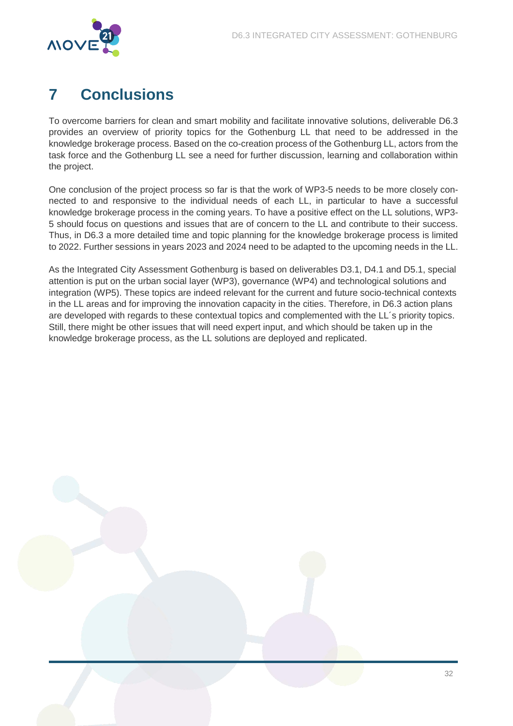

# <span id="page-32-0"></span>**7 Conclusions**

To overcome barriers for clean and smart mobility and facilitate innovative solutions, deliverable D6.3 provides an overview of priority topics for the Gothenburg LL that need to be addressed in the knowledge brokerage process. Based on the co-creation process of the Gothenburg LL, actors from the task force and the Gothenburg LL see a need for further discussion, learning and collaboration within the project.

One conclusion of the project process so far is that the work of WP3-5 needs to be more closely connected to and responsive to the individual needs of each LL, in particular to have a successful knowledge brokerage process in the coming years. To have a positive effect on the LL solutions, WP3- 5 should focus on questions and issues that are of concern to the LL and contribute to their success. Thus, in D6.3 a more detailed time and topic planning for the knowledge brokerage process is limited to 2022. Further sessions in years 2023 and 2024 need to be adapted to the upcoming needs in the LL.

As the Integrated City Assessment Gothenburg is based on deliverables D3.1, D4.1 and D5.1, special attention is put on the urban social layer (WP3), governance (WP4) and technological solutions and integration (WP5). These topics are indeed relevant for the current and future socio-technical contexts in the LL areas and for improving the innovation capacity in the cities. Therefore, in D6.3 action plans are developed with regards to these contextual topics and complemented with the LL´s priority topics. Still, there might be other issues that will need expert input, and which should be taken up in the knowledge brokerage process, as the LL solutions are deployed and replicated.